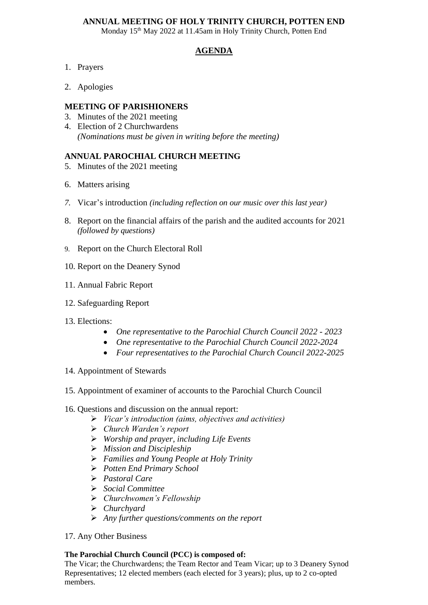### **ANNUAL MEETING OF HOLY TRINITY CHURCH, POTTEN END**

Monday 15<sup>th</sup> May 2022 at 11.45am in Holy Trinity Church, Potten End

# **AGENDA**

- 1. Prayers
- 2. Apologies

#### **MEETING OF PARISHIONERS**

- 3. Minutes of the 2021 meeting
- 4. Election of 2 Churchwardens *(Nominations must be given in writing before the meeting)*

### **ANNUAL PAROCHIAL CHURCH MEETING**

- 5. Minutes of the 2021 meeting
- 6. Matters arising
- *7.* Vicar's introduction *(including reflection on our music over this last year)*
- 8. Report on the financial affairs of the parish and the audited accounts for 2021 *(followed by questions)*
- 9. Report on the Church Electoral Roll
- 10. Report on the Deanery Synod
- 11. Annual Fabric Report
- 12. Safeguarding Report
- 13. Elections:
	- *One representative to the Parochial Church Council 2022 - 2023*
	- *One representative to the Parochial Church Council 2022-2024*
	- *Four representatives to the Parochial Church Council 2022-2025*
- 14. Appointment of Stewards
- 15. Appointment of examiner of accounts to the Parochial Church Council
- 16. Questions and discussion on the annual report:
	- ➢ *Vicar's introduction (aims, objectives and activities)*
	- ➢ *Church Warden's report*
	- ➢ *Worship and prayer, including Life Events*
	- ➢ *Mission and Discipleship*
	- ➢ *Families and Young People at Holy Trinity*
	- ➢ *Potten End Primary School*
	- ➢ *Pastoral Care*
	- ➢ *Social Committee*
	- ➢ *Churchwomen's Fellowship*
	- ➢ *Churchyard*
	- ➢ *Any further questions/comments on the report*
- 17. Any Other Business

#### **The Parochial Church Council (PCC) is composed of:**

The Vicar; the Churchwardens; the Team Rector and Team Vicar; up to 3 Deanery Synod Representatives; 12 elected members (each elected for 3 years); plus, up to 2 co-opted members.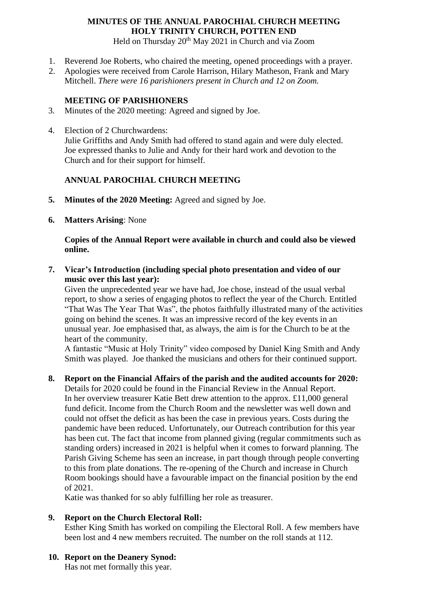# **MINUTES OF THE ANNUAL PAROCHIAL CHURCH MEETING HOLY TRINITY CHURCH, POTTEN END**

Held on Thursday 20<sup>th</sup> May 2021 in Church and via Zoom

- 1. Reverend Joe Roberts, who chaired the meeting, opened proceedings with a prayer.
- 2. Apologies were received from Carole Harrison, Hilary Matheson, Frank and Mary Mitchell. *There were 16 parishioners present in Church and 12 on Zoom.*

#### **MEETING OF PARISHIONERS**

- 3. Minutes of the 2020 meeting: Agreed and signed by Joe.
- 4. Election of 2 Churchwardens: Julie Griffiths and Andy Smith had offered to stand again and were duly elected. Joe expressed thanks to Julie and Andy for their hard work and devotion to the Church and for their support for himself.

### **ANNUAL PAROCHIAL CHURCH MEETING**

- **5. Minutes of the 2020 Meeting:** Agreed and signed by Joe.
- **6. Matters Arising**: None

### **Copies of the Annual Report were available in church and could also be viewed online.**

**7. Vicar's Introduction (including special photo presentation and video of our music over this last year):**

Given the unprecedented year we have had, Joe chose, instead of the usual verbal report, to show a series of engaging photos to reflect the year of the Church. Entitled "That Was The Year That Was", the photos faithfully illustrated many of the activities going on behind the scenes. It was an impressive record of the key events in an unusual year. Joe emphasised that, as always, the aim is for the Church to be at the heart of the community.

A fantastic "Music at Holy Trinity" video composed by Daniel King Smith and Andy Smith was played. Joe thanked the musicians and others for their continued support.

### **8. Report on the Financial Affairs of the parish and the audited accounts for 2020:**

Details for 2020 could be found in the Financial Review in the Annual Report. In her overview treasurer Katie Bett drew attention to the approx. £11,000 general fund deficit. Income from the Church Room and the newsletter was well down and could not offset the deficit as has been the case in previous years. Costs during the pandemic have been reduced. Unfortunately, our Outreach contribution for this year has been cut. The fact that income from planned giving (regular commitments such as standing orders) increased in 2021 is helpful when it comes to forward planning. The Parish Giving Scheme has seen an increase, in part though through people converting to this from plate donations. The re-opening of the Church and increase in Church Room bookings should have a favourable impact on the financial position by the end of 2021.

Katie was thanked for so ably fulfilling her role as treasurer.

### **9. Report on the Church Electoral Roll:**

Esther King Smith has worked on compiling the Electoral Roll. A few members have been lost and 4 new members recruited. The number on the roll stands at 112.

**10. Report on the Deanery Synod:**

Has not met formally this year.